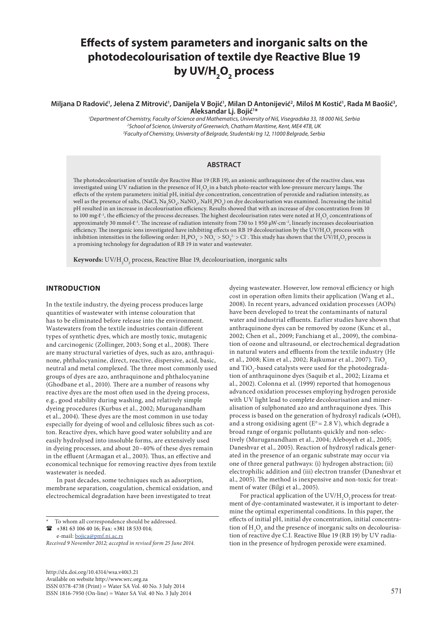# **Effects of system parameters and inorganic salts on the photodecolourisation of textile dye Reactive Blue 19 by UV/H2 O2 process**

Miljana D Radović', Jelena Z Mitrović', Danijela V Bojić', Milan D Antonijević<sup>2</sup>, Miloš M Kostić', Rada M Baošić<sup>3</sup>, **Aleksandar Lj. Bojić1 \***

> *1 Department of Chemistry, Faculty of Science and Mathematics, University of Niš, Visegradska 33, 18 000 Niš, Serbia 2 School of Science, University of Greenwich, Chatham Maritime, Kent, ME4 4TB, UK 3 Faculty of Chemistry, University of Belgrade, Studentski trg 12, 11000 Belgrade, Serbia*

#### **ABSTRACT**

The photodecolourisation of textile dye Reactive Blue 19 (RB 19), an anionic anthraquinone dye of the reactive class, was investigated using UV radiation in the presence of  $\rm H_2O_2$  in a batch photo-reactor with low-pressure mercury lamps. The effects of the system parameters: initial pH, initial dye concentration, concentration of peroxide and radiation intensity, as well as the presence of salts, (NaCl, Na<sub>2</sub>SO<sub>4</sub>, NaNO<sub>3</sub>, NaH<sub>2</sub>PO<sub>4</sub>) on dye decolourisation was examined. Increasing the initial pH resulted in an increase in decolourisation efficiency. Results showed that with an increase of dye concentration from 10 to 100 mg∙ℓ<sup>-1</sup>, the efficiency of the process decreases. The highest decolourisation rates were noted at  $\rm H_2O_2$  concentrations of approximately 30 mmol∙ℓ–1. The increase of radiation intensity from 730 to 1 950 μW∙cm–2, linearly increases decolourisation efficiency. The inorganic ions investigated have inhibiting effects on RB 19 decolourisation by the UV/H<sub>2</sub>O<sub>2</sub> process with inhibition intensities in the following order:  $H_2PO_4^->NO_3^->SO_4^{2-}>Cl^-$ . This study has shown that the  $UV/H_2O_2$  process is a promising technology for degradation of RB 19 in water and wastewater.

 ${\bf Key words:~}$   ${\rm UV/H}_2{\rm O}_2$  process, Reactive Blue 19, decolourisation, inorganic salts

## **INTRODUCTION**

In the textile industry, the dyeing process produces large quantities of wastewater with intense colouration that has to be eliminated before release into the environment. Wastewaters from the textile industries contain different types of synthetic dyes, which are mostly toxic, mutagenic and carcinogenic (Zollinger, 2003; Song et al., 2008). There are many structural varieties of dyes, such as azo, anthraquinone, phthalocyanine, direct, reactive, dispersive, acid, basic, neutral and metal complexed. The three most commonly used groups of dyes are azo, anthraquinone and phthalocyanine (Ghodbane et al., 2010). There are a number of reasons why reactive dyes are the most often used in the dyeing process, e.g., good stability during washing, and relatively simple dyeing procedures (Kurbus et al., 2002; Muruganandham et al., 2004). These dyes are the most common in use today especially for dyeing of wool and cellulosic fibres such as cotton. Reactive dyes, which have good water solubility and are easily hydrolysed into insoluble forms, are extensively used in dyeing processes, and about 20–40% of these dyes remain in the effluent (Armagan et al., 2003). Thus, an effective and economical technique for removing reactive dyes from textile wastewater is needed.

In past decades, some techniques such as adsorption, membrane separation, coagulation, chemical oxidation, and electrochemical degradation have been investigated to treat

e-mail: [bojica@pmf.ni.ac.rs](mailto:bojica@pmf.ni.ac.rs) 

*Received 9 November 2012; accepted in revised form 25 June 2014.*

http://dx.doi.org/10.4314/wsa.v40i3.21 Available on website http://www.wrc.org.za ISSN 0378-4738 (Print) = Water SA Vol. 40 No. 3 July 2014 ISSN 1816-7950 (On-line) = Water SA Vol. 40 No. 3 July 2014 571

dyeing wastewater. However, low removal efficiency or high cost in operation often limits their application (Wang et al., 2008). In recent years, advanced oxidation processes (AOPs) have been developed to treat the contaminants of natural water and industrial effluents. Earlier studies have shown that anthraquinone dyes can be removed by ozone (Kunc et al., 2002; Chen et al., 2009; Fanchiang et al., 2009), the combination of ozone and ultrasound, or electrochemical degradation in natural waters and effluents from the textile industry (He et al., 2008; Kim et al., 2002; Rajkumar et al., 2007). TiO<sub>2</sub> and  $\rm TiO_2$ -based catalysts were used for the photodegradation of anthraquinone dyes (Saquib et al., 2002; Lizama et al., 2002). Colonna et al. (1999) reported that homogenous advanced oxidation processes employing hydrogen peroxide with UV light lead to complete decolourisation and mineralisation of sulphonated azo and anthraquinone dyes. This process is based on the generation of hydroxyl radicals (•OH), and a strong oxidising agent ( $E^0 = 2.8$  V), which degrade a broad range of organic pollutants quickly and non-selectively (Muruganandham et al., 2004; Aleboyeh et al., 2005; Daneshvar et al., 2005). Reaction of hydroxyl radicals generated in the presence of an organic substrate may occur via one of three general pathways: (i) hydrogen abstraction; (ii) electrophilic addition and (iii) electron transfer (Daneshvar et al., 2005). The method is inexpensive and non-toxic for treatment of water (Bilgi et al., 2005).

For practical application of the  $\mathrm{UV/H}_2\mathrm{O}_2$  process for treatment of dye-contaminated wastewater, it is important to determine the optimal experimental conditions. In this paper, the effects of initial pH, initial dye concentration, initial concentration of  $\mathrm{H}_{2}\mathrm{O}_{2}$  and the presence of inorganic salts on decolourisation of reactive dye C.I. Reactive Blue 19 (RB 19) by UV radiation in the presence of hydrogen peroxide were examined.

To whom all correspondence should be addressed.  $\bullet$  +381 63 106 40 16; Fax: +381 18 533 014;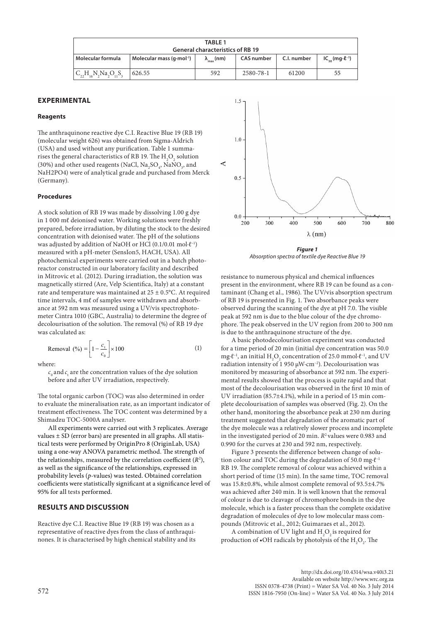| <b>TABLE 1</b>                          |                                     |                             |                   |             |                                           |  |  |  |
|-----------------------------------------|-------------------------------------|-----------------------------|-------------------|-------------|-------------------------------------------|--|--|--|
| <b>General characteristics of RB 19</b> |                                     |                             |                   |             |                                           |  |  |  |
| Molecular formula                       | Molecular mass $(q \cdot mol^{-1})$ | $\lambda_{\text{max}}$ (nm) | <b>CAS</b> number | C.I. number | $IC_{\epsilon_0}$ (mg $\cdot \ell^{-1}$ ) |  |  |  |
| $IC_{22}H_{16}N_2Na_2O_{11}S_3$         | 626.55                              | 592                         | 2580-78-1         | 61200       | 55                                        |  |  |  |

# **EXPERIMENTAL**

#### **Reagents**

The anthraquinone reactive dye C.I. Reactive Blue 19 (RB 19) (molecular weight 626) was obtained from Sigma-Aldrich (USA) and used without any purification. Table 1 summarises the general characteristics of RB 19. The  $\rm H_2O_2$  solution (30%) and other used reagents (NaCl,  $\text{Na}_2\text{SO}_4$ , NaN $\text{O}_3$ , and NaH2PO4) were of analytical grade and purchased from Merck (Germany).

#### **Procedures**

A stock solution of RB 19 was made by dissolving 1.00 g dye in 1 000 mℓ deionised water. Working solutions were freshly prepared, before irradiation, by diluting the stock to the desired concentration with deionised water. The pH of the solutions was adjusted by addition of NaOH or HCl (0.1/0.01 mol∙ℓ–1) measured with a pH-meter (SensIon5, HACH, USA). All photochemical experiments were carried out in a batch photoreactor constructed in our laboratory facility and described in Mitrovic et al. (2012). During irradiation, the solution was magnetically stirred (Are, Velp Scientifica, Italy) at a constant rate and temperature was maintained at  $25 \pm 0.5$ °C. At required time intervals, 4 mℓ of samples were withdrawn and absorbance at 592 nm was measured using a UV/vis spectrophotometer Cintra 1010 (GBC, Australia) to determine the degree of decolourisation of the solution. The removal (%) of RB 19 dye was calculated as:

$$
\text{Removal } (\%) = \left[1 - \frac{c_t}{c_0}\right] \times 100\tag{1}
$$

where:

 $c_{_0}$  and  $c_{_{\rm t}}$  are the concentration values of the dye solution before and after UV irradiation, respectively.

The total organic carbon (TOC) was also determined in order to evaluate the mineralisation rate, as an important indicator of treatment effectiveness. The TOC content was determined by a Shimadzu TOC-5000A analyser.

All experiments were carried out with 3 replicates. Average values  $\pm$  SD (error bars) are presented in all graphs. All statistical tests were performed by OriginPro 8 (OriginLab, USA) using a one-way ANOVA parametric method. The strength of the relationships, measured by the correlation coefficient  $(R^2)$ , as well as the significance of the relationships, expressed in probability levels (*p*-values) was tested. Obtained correlation coefficients were statistically significant at a significance level of 95% for all tests performed.

### **RESULTS AND DISCUSSION**

Reactive dye C.I. Reactive Blue 19 (RB 19) was chosen as a representative of reactive dyes from the class of anthraquinones. It is characterised by high chemical stability and its



*Figure 1 Absorption spectra of textile dye Reactive Blue 19*

resistance to numerous physical and chemical influences present in the environment, where RB 19 can be found as а contaminant (Chang et al., 1986). The UV/vis absorption spectrum of RB 19 is presented in Fig. 1. Two absorbance peaks were observed during the scanning of the dye at pH 7.0. The visible peak at 592 nm is due to the blue colour of the dye chromophore. The peak observed in the UV region from 200 to 300 nm is due to the anthraquinone structure of the dye.

A basic photodecolourisation experiment was conducted for a time period of 20 min (initial dye concentration was 50.0 mg⋅ $\ell$ <sup>-1</sup>, an initial H<sub>2</sub>O<sub>2</sub> concentration of 25.0 mmol⋅ $\ell$ <sup>-1</sup>, and UV radiation intensity of 1 950 μW∙cm–2). Decolourisation was monitored by measuring of absorbance at 592 nm. The experimental results showed that the process is quite rapid and that most of the decolourisation was observed in the first 10 min of UV irradiation (85.7±4.1%), while in a period of 15 min complete decolourisation of samples was observed (Fig. 2). On the other hand, monitoring the absorbance peak at 230 nm during treatment suggested that degradation of the aromatic part of the dye molecule was a relatively slower process and incomplete in the investigated period of 20 min.  $R^2$  values were 0.983 and 0.990 for the curves at 230 and 592 nm, respectively.

Figure 3 presents the difference between change of solution colour and TOC during the degradation of 50.0 mg⋅ $l^{-1}$ RB 19. The complete removal of colour was achieved within a short period of time (15 min). In the same time, TOC removal was 15.8±0.8%, while almost complete removal of 93.5±4.7% was achieved after 240 min. It is well known that the removal of colour is due to cleavage of chromophore bonds in the dye molecule, which is a faster process than the complete oxidative degradation of molecules of dye to low molecular mass compounds (Mitrovic et al., 2012; Guimaraes et al., 2012).

A combination of UV light and  $\rm H_2O_2$  is required for production of  $\bullet$ OH radicals by photolysis of the  $\mathrm{H}_{2}\mathrm{O}_{2}$ . The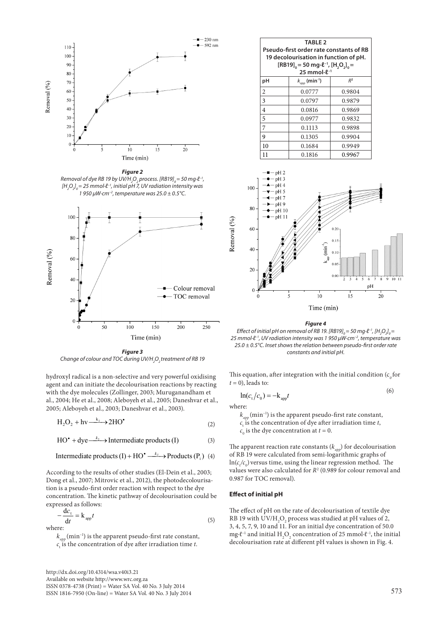

*Figure 2 Removal of dye RB 19 by UV/H<sub>2</sub>O<sub>2</sub> process. [RB19]<sub>0</sub>= 50 mg∙l<sup>−1</sup>, [H2 O2 ] 0 = 25 mmol∙ℓ–1, initial pH 7, UV radiation intensity was 1 950 μW∙cm–2, temperature was 25.0 ± 0.5°C.*



*Figure 3 Change of colour and TOC during UV/H2 O2 treatment of RB 19*

hydroxyl radical is a non-selective and very powerful oxidising agent and can initiate the decolourisation reactions by reacting with the dye molecules (Zollinger, 2003; Muruganandham et al., 2004; He et al., 2008; Aleboyeh et al., 2005; Daneshvar et al., 2005; Aleboyeh et al., 2003; Daneshvar et al., 2003).

$$
H_2O_2 + hv \xrightarrow{k_1} 2HO^{\bullet}
$$
 (2)

$$
HO^{\bullet} + \text{dye} \xrightarrow{k_2} \text{Internetiate products (I)}
$$
 (3)

$$
Intermediate\ products\ (I) + HO^{\bullet} \xrightarrow{k_3} Products\ (P_i) \ (4)
$$

According to the results of other studies (El-Dein et al., 2003; Dong et al., 2007; Mitrovic et al., 2012), the photodecolourisation is a pseudo-first order reaction with respect to the dye concentration. The kinetic pathway of decolourisation could be expressed as follows:

$$
-\frac{dc_t}{dt} = k_{app}t
$$
 (5)

 $k_{\text{app}}$  (min<sup>-1</sup>) is the apparent pseudo-first rate constant,  $c_{\text{t}}$  is the concentration of dye after irradiation time *t*.

http://dx.doi.org/10.4314/wsa.v40i3.21 Available on website http://www.wrc.org.za ISSN 0378-4738 (Print) = Water SA Vol. 40 No. 3 July 2014  $1$ SSN 1816-7950 (On-line) = Water SA Vol. 40 No. 3 July 2014 573

| Pseudo-first order rate constants of RB<br>19 decolourisation in function of pH.<br>$[RB19]_{0} = 50$ mg $\cdot \ell^{-1}$ , $[H, O,]_{0} =$<br>25 mmol $\cdot \ell^{-1}$ |                                   |                |  |  |  |  |
|---------------------------------------------------------------------------------------------------------------------------------------------------------------------------|-----------------------------------|----------------|--|--|--|--|
| рH                                                                                                                                                                        | $k_{_{app}}$ (min <sup>-1</sup> ) | R <sup>2</sup> |  |  |  |  |
| $\overline{c}$                                                                                                                                                            | 0.0777                            | 0.9804         |  |  |  |  |
| 3                                                                                                                                                                         | 0.0797                            | 0.9879         |  |  |  |  |
| 4                                                                                                                                                                         | 0.0816                            | 0.9869         |  |  |  |  |
| 5                                                                                                                                                                         | 0.0977                            | 0.9832         |  |  |  |  |
| 7                                                                                                                                                                         | 0.1113                            | 0.9898         |  |  |  |  |
| 9                                                                                                                                                                         | 0.1305                            | 0.9904         |  |  |  |  |
| 10                                                                                                                                                                        | 0.1684                            | 0.9949         |  |  |  |  |
| 11                                                                                                                                                                        | 0.1816                            | 0.9967         |  |  |  |  |



*Figure 4*

*Effect of initial pH on removal of RB 19. [RB19]<sub>0</sub>=50 mg∙* $l$ *<sup>-1</sup>, [H<sub>2</sub>O<sub>2</sub>]<sub>0</sub>= 25 mmol∙ℓ–1, UV radiation intensity was 1 950 μW∙cm–2, temperature was 25.0 ± 0.5°C. Inset shows the relation between pseudo-first order rate constants and initial pH.*

This equation, after integration with the initial condition  $(c_0$  for  $t = 0$ ), leads to:

$$
\ln(c_t/c_0) = -k_{app}t\tag{6}
$$

where:

 $k_{_{app}}$  (min<sup>-1</sup>) is the apparent pseudo-first rate constant,  $c_{t}$  is the concentration of dye after irradiation time *t*,  $c_0$  is the dye concentration at  $t = 0$ .

The apparent reaction rate constants  $(k_{_{app}})$  for decolourisation of RB 19 were calculated from semi-logarithmic graphs of  $\ln(c_{t}/c_{0})$  versus time, using the linear regression method. The values were also calculated for *R*<sup>2</sup> (0.989 for colour removal and 0.987 for TOC removal).

#### **Effect of initial pH**

The effect of pH on the rate of decolourisation of textile dye RB 19 with  $\mathrm{UV/H}_2\mathrm{O}_2$  process was studied at pH values of 2, 3, 4, 5, 7, 9, 10 and 11. For an initial dye concentration of 50.0 mg⋅ $\ell$ <sup>-1</sup> and initial H<sub>2</sub>O<sub>2</sub> concentration of 25 mmol⋅ $\ell$ <sup>-1</sup>, the initial decolourisation rate at different pH values is shown in Fig. 4.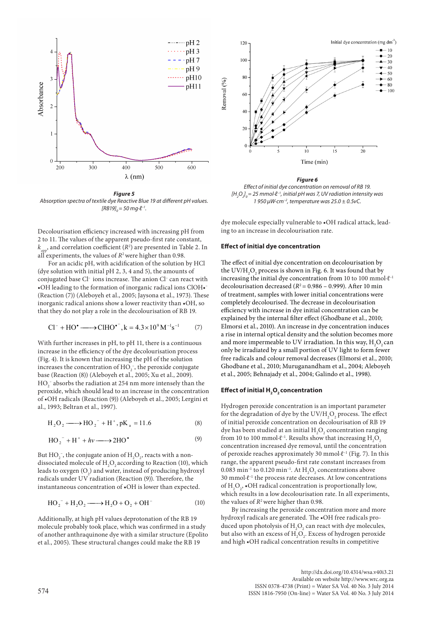

*Figure 5 Absorption spectra of textile dye Reactive Blue 19 at different pH values. [RB19]*<sub>0</sub> = 50 mg⋅ $l$ <sup>-1</sup>.

Decolourisation efficiency increased with increasing pH from 2 to 11. The values of the apparent pseudo-first rate constant,  $k_{_{app}}$ , and correlation coefficient ( $R$ <sup>2</sup>) are presented in Table 2. In all experiments, the values of  $R^2$  were higher than 0.98.

For an acidic pH, with acidification of the solution by HCl (dye solution with initial pH 2, 3, 4 and 5), the amounts of conjugated base Cl– ions increase. The anion Cl– can react with •OH leading to the formation of inorganic radical ions ClOH•– (Reaction (7)) (Aleboyeh et al., 2005; Jaysona et al., 1973). These inorganic radical anions show a lower reactivity than •OH, so that they do not play a role in the decolourisation of RB 19.

$$
Cl^{-} + HO^{\bullet} \longrightarrow CHHO^{\bullet^{-}}, k = 4.3 \times 10^{9} M^{-1} s^{-1}
$$
 (7)

With further increases in pH, to pH 11, there is a continuous increase in the efficiency of the dye decolourisation process (Fig. 4). It is known that increasing the pH of the solution increases the concentration of  $HO_2^-$ , the peroxide conjugate base (Reaction (8)) (Aleboyeh et al., 2005; Xu et al., 2009).  $\mathrm{HO}_2^-$  absorbs the radiation at 254 nm more intensely than the peroxide, which should lead to an increase in the concentration of •OH radicals (Reaction (9)) (Aleboyeh et al., 2005; Lergini et al., 1993; Beltran et al., 1997).

$$
H_2O_2 \longrightarrow HO_2^- + H^+, pK_a = 11.6
$$
 (8)

$$
HO_2^- + H^+ + hv \longrightarrow 2HO^{\bullet}
$$
 (9)

But  $HO_2^-$ , the conjugate anion of  $H_2O_2$ , reacts with a nondissociated molecule of  $\rm{H_{2}O_{2}}$  according to Reaction (10), which leads to oxygen  $(O_2)$  and water, instead of producing hydroxyl radicals under UV radiation (Reaction (9)). Therefore, the instantaneous concentration of •OH is lower than expected.

$$
\text{HO}_2^- + \text{H}_2\text{O}_2 \longrightarrow \text{H}_2\text{O} + \text{O}_2 + \text{OH}^-
$$
 (10)

Additionally, at high pH values deprotonation of the RB 19 molecule probably took place, which was confirmed in a study of another anthraquinone dye with a similar structure (Epolito et al., 2005). These structural changes could make the RB 19



*Figure 6*

*Effect of initial dye concentration on removal of RB 19. [H2 O2 ] 0 = 25 mmol∙ℓ–1, initial pH was 7, UV radiation intensity was 1 950 μW∙cm–2, temperature was 25.0 ± 0.5vC.*

dye molecule especially vulnerable to •OH radical attack, leading to an increase in decolourisation rate.

#### **Effect of initial dye concentration**

The effect of initial dye concentration on decolourisation by the  $\mathrm{UV}/\mathrm{H}_2\mathrm{O}_2$  process is shown in Fig. 6. It was found that by increasing the initial dye concentration from 10 to 100 mmol∙ℓ–1 decolourisation decreased  $(R^2 = 0.986 - 0.999)$ . After 10 min of treatment, samples with lower initial concentrations were completely decolourised. The decrease in decolourisation efficiency with increase in dye initial concentration can be explained by the internal filter effect (Ghodbane et al., 2010; Elmorsi et al., 2010). An increase in dye concentration induces a rise in internal optical density and the solution becomes more and more impermeable to UV irradiation. In this way,  $\rm H_2O_2$  can only be irradiated by a small portion of UV light to form fewer free radicals and colour removal decreases (Elmorsi et al., 2010; Ghodbane et al., 2010; Muruganandham et al., 2004; Aleboyeh et al., 2005; Behnajady et al., 2004; Galindo et al., 1998).

# **Effect of initial H<sub>2</sub>O<sub>2</sub> concentration**

Hydrogen peroxide concentration is an important parameter for the degradation of dye by the  $\mathrm{UV/H}_2\mathrm{O}_2$  process. The effect of initial peroxide concentration on decolourisation of RB 19 dye has been studied at an initial  $\rm{H}_{2}\rm{O}_{2}$  concentration ranging from 10 to 100 mmol⋅ $\ell$ <sup>-1</sup>. Results show that increasing  $H_2O_2$ concentration increased dye removal, until the concentration of peroxide reaches approximately 30 mmol∙ℓ–1 (Fig. 7). In this range, the apparent pseudo-first rate constant increases from  $0.083$   $\rm{min}^{\text{-1}}$  to  $0.120$   $\rm{min}^{\text{-1}}.$  At  $\rm{H}_{\text{2}}\rm{O}_{\text{2}}$  concentrations above 30 mmol⋅ℓ<sup>-1</sup> the process rate decreases. At low concentrations of  $H_2O_2$ ,  $\bullet$ OH radical concentration is proportionally low, which results in a low decolourisation rate. In all experiments, the values of  $R^2$  were higher than 0.98.

By increasing the peroxide concentration more and more hydroxyl radicals are generated. The •OH free radicals produced upon photolysis of  $H_2O_2$  can react with dye molecules, but also with an excess of  $H_2O_2$ . Excess of hydrogen peroxide and high •OH radical concentration results in competitive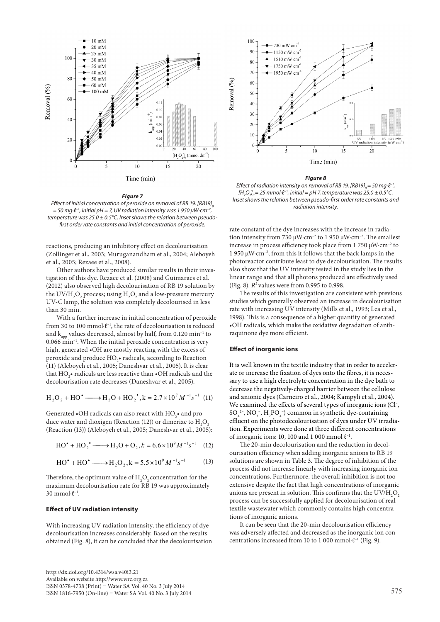

#### *Figure 7*

*Effect of initial concentration of peroxide on removal of RB 19. [RB19] = 50 mg∙ℓ–1, initial pH = 7, UV radiation intensity was 1 950 μW∙cm–2, temperature was 25.0 ± 0.5°C. Inset shows the relation between pseudofirst order rate constants and initial concentration of peroxide.*

reactions, producing an inhibitory effect on decolourisation (Zollinger et al., 2003; Muruganandham et al., 2004; Aleboyeh et al., 2005; Rezaee et al., 2008).

Other authors have produced similar results in their investigation of this dye. Rezaee et al. (2008) and Guimaraes et al. (2012) also observed high decolourisation of RB 19 solution by the UV/H<sub>2</sub>O<sub>2</sub> process; using H<sub>2</sub>O<sub>2</sub> and a low-pressure mercury UV-C lamp, the solution was completely decolourised in less than 30 min.

With a further increase in initial concentration of peroxide from 30 to 100 mmol∙ℓ–1, the rate of decolourisation is reduced and  $k_{\text{max}}$  values decreased, almost by half, from 0.120 min<sup>-1</sup> to 0.066 min–1. When the initial peroxide concentration is very high, generated •OH are mostly reacting with the excess of peroxide and produce  $\mathrm{HO}_{2}$ • radicals, according to Reaction (11) (Aleboyeh et al., 2005; Daneshvar et al., 2005). It is clear that  $\mathrm{HO}_2^{\vphantom{1}}$  radicals are less reactive than  $\bullet$  OH radicals and the decolourisation rate decreases (Daneshvar et al., 2005).

$$
H_2O_2 + HO^{\bullet} \longrightarrow H_2O + HO_2^{\bullet}, k = 2.7 \times 10^7 M^{-1} s^{-1}
$$
 (11)

Generated  $\bullet$ OH radicals can also react with  $\mathrm{HO}_2^{\bullet}\bullet$  and produce water and dioxigen (Reaction (12)) or dimerize to  ${\rm H}_{\rm _2}{\rm O}_{\rm _2}$ (Reaction (13)) (Aleboyeh et al., 2005; Daneshvar et al., 2005):

$$
HO^{\bullet} + HO_2^{\bullet} \longrightarrow H_2O + O_2, k = 6.6 \times 10^9 M^{-1} s^{-1}
$$
 (12)

$$
HO^{\bullet} + HO^{\bullet} \longrightarrow H_2O_2, k = 5.5 \times 10^9 M^{-1} s^{-1}
$$
 (13)

Therefore, the optimum value of  $\rm{H}_{2}\rm{O}_{2}$  concentration for the maximum decolourisation rate for RB 19 was approximately 30 mmol∙ℓ–1.

# **Effect of UV radiation intensity**

With increasing UV radiation intensity, the efficiency of dye decolourisation increases considerably. Based on the results obtained (Fig. 8), it can be concluded that the decolourisation



#### *Figure 8*

*Effect of radiation intensity on removal of RB 19. [RB19] = 50 mg⋅ℓ<sup>-1</sup>, [H2 O2 ] 0 = 25 mmol∙ℓ–1, initial = pH 7, temperature was 25.0 ± 0.5°C. Inset shows the relation between pseudo-first order rate constants and radiation intensity.*

rate constant of the dye increases with the increase in radiation intensity from 730 μW∙cm–2 to 1 950 μW∙cm–2. The smallest increase in process efficiency took place from 1 750 μW∙cm–2 to 1 950 μW∙cm–2; from this it follows that the back lamps in the photoreactor contribute least to dye decolourisation. The results also show that the UV intensity tested in the study lies in the linear range and that all photons produced are effectively used (Fig. 8). *R*2 values were from 0.995 to 0.998.

The results of this investigation are consistent with previous studies which generally observed an increase in decolourisation rate with increasing UV intensity (Mills et al., 1993; Lea et al., 1998). This is a consequence of a higher quantity of generated •OH radicals, which make the oxidative degradation of anthraquinone dye more efficient.

#### **Effect of inorganic ions**

It is well known in the textile industry that in order to accelerate or increase the fixation of dyes onto the fibres, it is necessary to use a high electrolyte concentration in the dye bath to decrease the negatively-charged barrier between the cellulose and anionic dyes (Carneiro et al., 2004; Kampyli et al., 2004). We examined the effects of several types of inorganic ions (Cl-,  $SO_4^2$ <sup>-</sup>,  $NO_3^-$ ,  $H_2PO_4^-$ ) common in synthetic dye-containing effluent on the photodecolourisation of dyes under UV irradiation. Experiments were done at three different concentrations of inorganic ions: 10, 100 and 1 000 mmol  $\ell^{-1}$ .

The 20-min decolourisation and the reduction in decolourisation efficiency when adding inorganic anions to RB 19 solutions are shown in Table 3. The degree of inhibition of the process did not increase linearly with increasing inorganic ion concentrations. Furthermore, the overall inhibition is not too extensive despite the fact that high concentrations of inorganic anions are present in solution. This confirms that the  $\rm UV/H_2O_2$ process can be successfully applied for decolourisation of real textile wastewater which commonly contains high concentrations of inorganic anions.

It can be seen that the 20-min decolourisation efficiency was adversely affected and decreased as the inorganic ion concentrations increased from 10 to 1 000 mmol∙ℓ–1 (Fig. 9).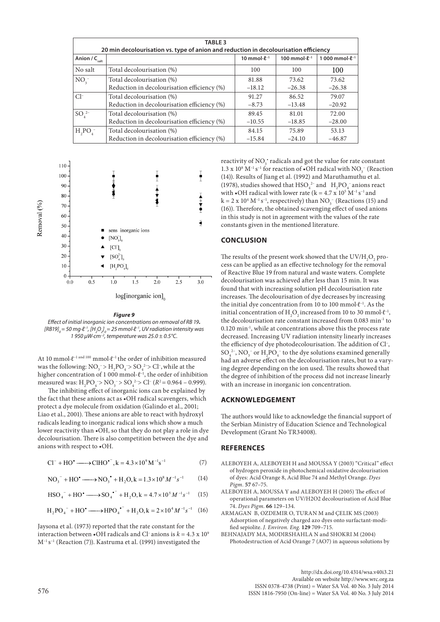| <b>TABLE 3</b><br>20 min decolourisation vs. type of anion and reduction in decolourisation efficiency |                                             |                                      |                           |                      |  |  |  |  |
|--------------------------------------------------------------------------------------------------------|---------------------------------------------|--------------------------------------|---------------------------|----------------------|--|--|--|--|
| Anion / $C_{\text{salt}}$                                                                              |                                             | 10 mmol $\cdot$ $\ell$ <sup>-1</sup> | 100 mmol $\cdot$ $2^{-1}$ | 1 000 mmol- $l^{-1}$ |  |  |  |  |
| No salt                                                                                                | Total decolourisation (%)                   | 100                                  | 100                       | 100                  |  |  |  |  |
| NO <sub>3</sub>                                                                                        | Total decolourisation (%)                   | 81.88                                | 73.62                     | 73.62                |  |  |  |  |
|                                                                                                        | Reduction in decolourisation efficiency (%) | $-18.12$                             | $-26.38$                  | $-26.38$             |  |  |  |  |
| $Cl^-$                                                                                                 | Total decolourisation (%)                   | 91.27                                | 86.52                     | 79.07                |  |  |  |  |
|                                                                                                        | Reduction in decolourisation efficiency (%) | $-8.73$                              | $-13.48$                  | $-20.92$             |  |  |  |  |
| SO <sub>4</sub> <sup>2–</sup>                                                                          | Total decolourisation (%)                   | 89.45                                | 81.01                     | 72.00                |  |  |  |  |
|                                                                                                        | Reduction in decolourisation efficiency (%) | $-10.55$                             | $-18.85$                  | $-28.00$             |  |  |  |  |
| $H_2PO_4^-$                                                                                            | Total decolourisation (%)                   | 84.15                                | 75.89                     | 53.13                |  |  |  |  |
|                                                                                                        | Reduction in decolourisation efficiency (%) | $-15.84$                             | $-24.10$                  | $-46.87$             |  |  |  |  |



#### *Figure 9*

*Effect of initial inorganic ion concentrations on removal of RB 19***.** *[RB19]*<sub>0</sub> = 50 mg∙l<sup>2-1</sup>, [H<sub>2</sub>O<sub>2</sub>]<sub>0</sub> = 25 mmol∙l<sup>2-1</sup>, UV radiation intensity was *1 950 μW∙cm–2, temperature was 25.0 ± 0.5°C.*

At 10 mmol∙ℓ–1 and 100 mmol∙ℓ–1 the order of inhibition measured was the following:  $NO_3^- > H_2PO_4 > SO_4^2 > Cl^2$ , while at the higher concentration of 1 000 mmol- $\ell^{-1}$ , the order of inhibition measured was:  $H_2PO_4 > NO_3 > SO_4^{2} > Cl^-(R^2 = 0.964 - 0.999)$ .

The inhibiting effect of inorganic ions can be explained by the fact that these anions act as •OH radical scavengers, which protect a dye molecule from oxidation (Galindo et al., 2001; Liao et al., 2001). These anions are able to react with hydroxyl radicals leading to inorganic radical ions which show a much lower reactivity than •OH, so that they do not play a role in dye decolourisation. There is also competition between the dye and anions with respect to •OH.

$$
Cl^{-} + HO^{\bullet} \longrightarrow CHIO^{\bullet^{-}}, k = 4.3 \times 10^{9} M^{-1} s^{-1}
$$
 (7)

$$
NO_3^- + HO^{\bullet} \longrightarrow NO_3^{\bullet} + H_2O, k = 1.3 \times 10^8 M^{-1} s^{-1}
$$
 (14)

$$
\text{HSO}_4^- + \text{HO}^{\bullet} \longrightarrow \text{SO}_4^{\bullet^-} + \text{H}_2\text{O}, k = 4.7 \times 10^5 \, M^{-1} s^{-1} \tag{15}
$$

$$
H_2PO_4^- + HO^{\bullet} \longrightarrow \text{HPO}_4^{\bullet^-} + H_2O, k = 2 \times 10^4 M^{-1} s^{-1}
$$
 (16)

Jaysona et al. (1973) reported that the rate constant for the interaction between  $\cdot$ OH radicals and Cl<sup>-</sup> anions is  $k = 4.3 \times 10^9$  $M^{-1}$  s<sup>-1</sup> (Reaction (7)). Kastruma et al. (1991) investigated the

reactivity of  $\mathrm{NO_3^{\star}}$  radicals and got the value for rate constant  $1.3$  x  $10^8$   $\rm M^{-1}\,s^{-1}$  for reaction of  $\bullet$  OH radical with  $\rm NO_3^-$  (Reaction (14)). Results of Jiang et al. (1992) and Maruthamuthu et al. (1978), studies showed that  $HSO_4^{2-}$  and  $H_2PO_4^-$  anions react with  $\bullet$ OH radical with lower rate (k = 4.7 x 10<sup>5</sup> M<sup>-1</sup> s<sup>-1</sup> and  $k = 2 \times 10^4 \text{ M}^{-1} \text{ s}^{-1}$ , respectively) than NO<sub>3</sub><sup>-</sup> (Reactions (15) and (16)). Therefore, the obtained scavenging effect of used anions in this study is not in agreement with the values of the rate constants given in the mentioned literature.

# **CONCLUSION**

The results of the present work showed that the  $\mathrm{UV/H}_2\mathrm{O}_2$  process can be applied as an effective technology for the removal of Reactive Blue 19 from natural and waste waters. Complete decolourisation was achieved after less than 15 min. It was found that with increasing solution pH decolourisation rate increases. The decolourisation of dye decreases by increasing the initial dye concentration from 10 to 100 mmol∙ℓ–1. As the initial concentration of H<sub>2</sub>O<sub>2</sub> increased from 10 to 30 mmol⋅ $\ell$ <sup>-1</sup>, the decolourisation rate constant increased from 0.083 min-1 to 0.120 min-1, while at concentrations above this the process rate decreased. Increasing UV radiation intensity linearly increases the efficiency of dye photodecolourisation. The addition of Cl– ,  $SO_4^{2-}$ ,  $NO_3^-$  or  $H_2PO_4^-$  to the dye solutions examined generally had an adverse effect on the decolourisation rates, but to a varying degree depending on the ion used. The results showed that the degree of inhibition of the process did not increase linearly with an increase in inorganic ion concentration.

#### **ACKNOWLEDGEMENT**

The authors would like to acknowledge the financial support of the Serbian Ministry of Education Science and Technological Development (Grant No TR34008).

# **REFERENCES**

- ALEBOYEH A, ALEBOYEH H and MOUSSA Y (2003) "Critical" effect of hydrogen peroxide in photochemical oxidative decolourisation of dyes: Acid Orange 8, Acid Blue 74 and Methyl Orange. *Dyes Pigm.* **57** 67–75.
- ALEBOYEH A, MOUSSA Y and ALEBOYEH H (2005) The effect of operational parameters on UV/H2O2 decolourisation of Acid Blue 74. *Dyes Pigm.* **66** 129–134.
- ARMAGAN B, OZDEMIR O, TURAN M and ÇELIK MS (2003) Adsorption of negatively charged azo dyes onto surfactant-modified sepiolite. *J. Environ. Eng.* **129** 709–715.
- BEHNAJADY MA, MODIRSHAHLA N and SHOKRI M (2004) Photodestruction of Acid Orange 7 (AO7) in aqueous solutions by

http://dx.doi.org/10.4314/wsa.v40i3.21 Available on website http://www.wrc.org.za ISSN 0378-4738 (Print) = Water SA Vol. 40 No. 3 July 2014  $576$  ISSN 1816-7950 (On-line) = Water SA Vol. 40 No. 3 July 2014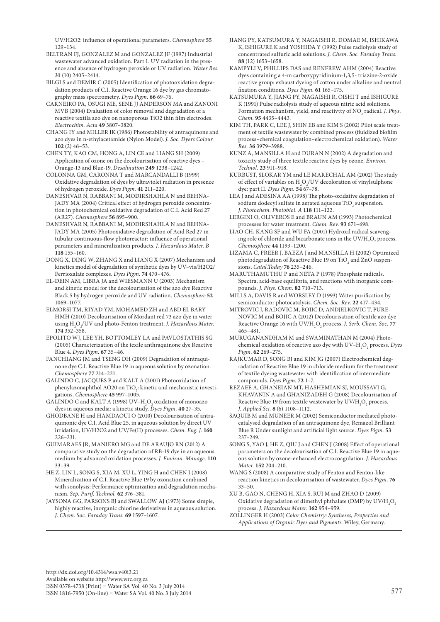UV/H2O2: influence of operational parameters. *Chemosphere* **55** 129–134.

BELTRAN FI, GONZALEZ M and GONZALEZ IF (1997) Industrial wastewater advanced oxidation. Part 1. UV radiation in the presence and absence of hydrogen peroxide or UV radiation. *Water Res.* **31** (10) 2405–2414.

BILGI S and DEMIR C (2005) Identification of photooxidation degradation products of C.I. Reactive Orange 16 dye by gas chromatography mass spectrometry. *Dyes Pigm.* **66** 69–76.

CARNEIRO PA, OSUGI ME, SENE JJ ANDERSON MA and ZANONI MVB (2004) Evaluation of color removal and degradation of a reactive textila azo dye on nanoporous TiO2 thin film electrodes. *Electrochim. Acta* **49** 3807–3820.

CHANG IY and MILLER IK (1986) Photostability of antraquinone and azo dyes in n-ethylacetamide (Nylon Model). *J. Soc. Dyers Colour.* **102** (2) 46–53.

CHEN TY, KAO CM, HONG A, LIN CE and LIANG SH (2009) Application of ozone on the decolourisation of reactive dyes – Orange-13 and Blue-19. *Desalination* **249** 1238–1242.

COLONNA GM, CARONNA T and MARCANDALLI B (1999) Oxidative degradation of dyes by ultraviolet radiation in presence of hydrogen peroxide. *Dyes Pigm.* **41** 211–220.

DANESHVAR N, RABBANI M, MODIRSHAHLA N and BEHNA-JADY MA (2004) Critical effect of hydrogen peroxide concentration in photochemical oxidative degradation of C.I. Acid Red 27 (AR27). *Chemosphere* **56** 895–900.

DANESHVAR N, RABBANI M, MODIRSHAHLA N and BEHNA-JADY MA (2005) Photooxidative degradation of Acid Red 27 in tubular continuous-flow photoreactor: influence of operational parameters and mineralization products. *J. Hazardous Mater. B* **118** 155–160.

DONG X, DING W, ZHANG X and LIANG X (2007) Mechanism and kinetics model of degradation of synthetic dyes by UV–vis/H2O2/ Ferrioxalate complexes. *Dyes Pigm.* **74** 470–476.

EL-DEIN AM, LIBRA JA and WIESMANN U (2003) Mechanism and kinetic model for the decolourisation of the azo dye Reactive Black 5 by hydrogen peroxide and UV radiation. *Chemosphere* **52** 1069–1077.

ELMORSI TM, RIYAD YM, MOHAMED ZH and ABD EL BARY HMH (2010) Decolourisation of Mordant red 73 azo dye in water using H2 O2 /UV and photo-Fenton treatment. *J. Hazardous Mater.*  **174** 352–358.

EPOLITO WJ, LEE YH, BOTTOMLEY LA and PAVLOSTATHIS SG (2005) Characterization of the texile anthraquinone dye Reactive Blue 4. *Dyes Pigm.* **67** 35–46.

FANCHIANG JM and TSENG DH (2009) Degradation of antraquinone dye C.I. Reactive Blue 19 in aqueous solution by ozonation. *Chemosphere* **77** 214–221.

GALINDO C, JACQUES P and KALT A (2001) Photooxidation of phenylazonaphthol AO20 on TiO<sub>2</sub>: kinetic and mechanistic investigations. *Chemosphere* **45** 997–1005.

GALINDO C and KALT A (1998) UV– $\mathrm{H}_{2}\mathrm{O}_{2}$  oxidation of monoazo dyes in aqueous media: a kinetic study. *Dyes Pigm.* **40** 27–35.

GHODBANE H and HAMDAOUI O (2010) Decolourisation of antraquinonic dye C.I. Acid Blue 25, in aqueous solution by direct UV irridation, UV/H2O2 and UV/Fe(II) processes. *Chem. Eng. J.* **160** 226–231.

GUIMARAES JR, MANIERO MG and DE ARAUJO RN (2012) A comparative study on the degradation of RB-19 dye in an aqueous medium by advanced oxidation processes. *J. Environ. Manage.* **110**  33–39.

HE Z, LIN L, SONG S, XIA M, XU L, YING H and CHEN J (2008) Mineralization of C.I. Reactive Blue 19 by ozonation combined with sonolysis: Performance optimization and degradation mechanism. *Sep. Purif. Technol.* **62** 376–381.

JAYSONA GG, PARSONS BJ and SWALLOW AJ (1973) Some simple, highly reactive, inorganic chlorine derivatives in aqueous solution. *J. Chem. Soc. Faraday Trans.* **69** 1597–1607.

JIANG PY, KATSUMURA Y, NAGAISHI R, DOMAE M, ISHIKAWA K, ISHIGURE K and YOSHIDA Y (1992) Pulse radiolysis study of concentrated sulfuric acid solutions. *J. Chem. Soc. Faraday Trans.* **88** (12) 1653–1658.

KAMPYLI V, PHILLIPS DAS and RENFREW AHM (2004) Reactive dyes containing a 4-m carboxypyridinium-1,3,5- triazine-2-oxide reactive group: exhaust dyeing of cotton under alkaline and neutral fixation conditions. *Dyes Pigm.* **61** 165–175.

KATSUMURA Y, JIANG PY, NAGAISHI R, OISHI T and ISHIGURE K (1991) Pulse radiolysis study of aqueous nitric acid solutions. Formation mechanism, yield, and reactivtty of  $\text{NO}_3$  radical. *J. Phys. Chem.* **95** 4435–4443.

KIM TH, PARK C, LEE J, SHIN EB and KIM S (2002) Pilot scale treatment of textile wastewater by combined process (fluidized biofilm process–chemical coagulation–electrochemical oxidation). *Water Res.* **36** 3979–3988.

KUNZ A, MANSILLA H and DURAN N (2002) A degradation and toxicity study of three textile reactive dyes by ozone. *Environ. Technol.* **23** 911–918.

KURBUST, SLOKAR YM and LE MARECHAL AM (2002) The study of effect of variables on  $H_2O_2$ /UV decoloration of vinylsulphone dye: part II. *Dyes Pigm.* **54** 67–78.

LEA J and ADESINA AA (1998) The photo-oxidative degradation of sodium dodecyl sulfate in aerated aqueous  $\rm TiO_2$  suspension. *J. Photochem. Photobiol. A* **118** 111–122.

LERGINI O, OLIVEROS E and BRAUN AM (1993) Photochemical processes for water treatment. *Chem. Rev.* **93** 671–698.

LIAO CH, KANG SF and WU FA (2001) Hydroxil radical scavenging role of chloride and bicarbonate ions in the  $\rm UV/H_2O_2$  process. *Chemosphere* **44** 1193–1200.

LIZAMA C, FREER J, BAEZA J and MANSILLA H (2002) Optimized photodegradation of Reactive Blue 19 on  $\rm TiO_2$  and ZnO suspensions. *Catal.Today* **76** 235–246.

MARUTHAMUTHU P and NETA P (1978) Phosphate radicals. Spectra, acid-base equilibria, and reactions with inorganic compounds. *J. Phys. Chem.* **82** 710–713.

MILLS A, DAVIS R and WORSLEY D (1993) Water purification by semiconductor photocatalysis. *Chem. Soc. Rev.* **22** 417–434.

MITROVIC J, RADOVIC M, BOJIC D, ANDJELKOVIC T, PURE-NOVIC M and BOJIC A (2012) Decolourisation of textile azo dye Reactive Orange 16 with UV/H<sub>2</sub>O<sub>2</sub> process. *J. Serb. Chem. Soc.* 77 465–481.

MURUGANANDHAM M and SWAMINATHAN M (2004) Photochemical oxidation of reactive azo dye with  $\text{UV--H}_{\text{2}}\text{O}_{\text{2}}$  process. *Dyes Pigm.* **62** 269–275.

RAJKUMAR D, SONG BJ and KIM JG (2007) Electrochemical degradation of Reactive Blue 19 in chloride medium for the treatment of textile dyeing wastewater with identification of intermediate compounds. *Dyes Pigm.* **72** 1–7.

REZAEE A, GHANEIAN MT, HASHEMIAN SJ, MOUSSAVI G, KHAVANIN A and GHANIZADEH G (2008) Decolourisation of Reactive Blue 19 from textile wastewater by  $\mathrm{UV/H}_2\mathrm{O}_2$  process. *J. Applied Sci.* **8** (6) 1108–1112.

SAQUIB M and MUNEER M (2002) Semiconductor mediated photocatalysed degradation of an antraquinone dye, Remazol Brilliant Blue R Under sunlight and artificial light source. *Dyes Pigm.* **53** 237–249.

SONG S, YAO J, HE Z, QIU J and CHEN J (2008) Effect of operational parameters on the decolourisation of C.I. Reactive Blue 19 in aqueous solution by ozone-enhanced electrocoagulation. *J. Hazardous Mater.* **152** 204–210.

WANG S (2008) A comparative study of Fenton and Fenton-like reaction kinetics in decolourisation of wastewater. *Dyes Pigm.* **76** 33–50.

XU B, GAO N, CHENG H, XIA S, RUI M and ZHAO D (2009) Oxidative degradation of dimethyl phthalate (DMP) by  $\mathrm{UV/H}_2\mathrm{O}_2$ process. *J. Hazardous Mater.* **162** 954–959.

ZOLLINGER H (2003) *Color Chemistry: Syntheses, Properties and Applications of Organic Dyes and Pigments*. Wiley, Germany.